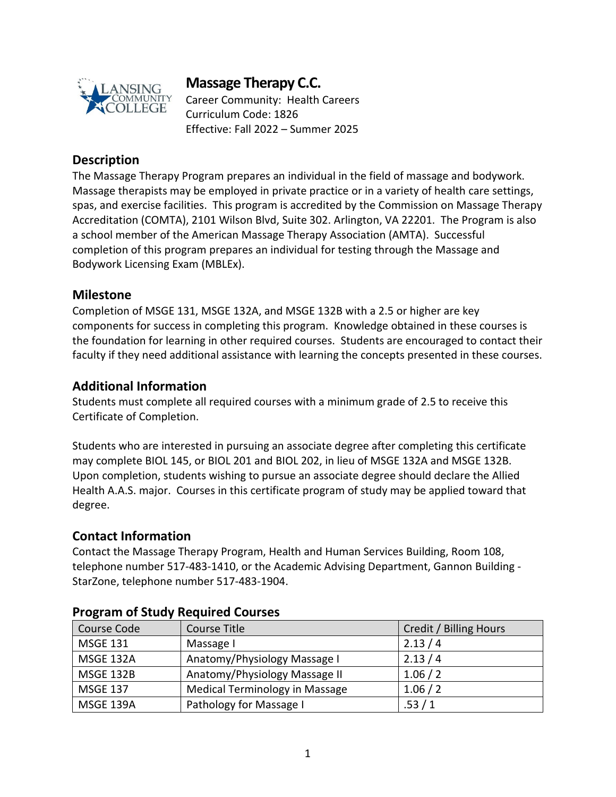

# **Massage Therapy C.C.**

Career Community: Health Careers Curriculum Code: 1826 Effective: Fall 2022 – Summer 2025

### **Description**

The Massage Therapy Program prepares an individual in the field of massage and bodywork. Massage therapists may be employed in private practice or in a variety of health care settings, spas, and exercise facilities. This program is accredited by the Commission on Massage Therapy Accreditation (COMTA), 2101 Wilson Blvd, Suite 302. Arlington, VA 22201. The Program is also a school member of the American Massage Therapy Association (AMTA). Successful completion of this program prepares an individual for testing through the Massage and Bodywork Licensing Exam (MBLEx).

#### **Milestone**

Completion of MSGE 131, MSGE 132A, and MSGE 132B with a 2.5 or higher are key components for success in completing this program. Knowledge obtained in these courses is the foundation for learning in other required courses. Students are encouraged to contact their faculty if they need additional assistance with learning the concepts presented in these courses.

### **Additional Information**

Students must complete all required courses with a minimum grade of 2.5 to receive this Certificate of Completion.

Students who are interested in pursuing an associate degree after completing this certificate may complete BIOL 145, or BIOL 201 and BIOL 202, in lieu of MSGE 132A and MSGE 132B. Upon completion, students wishing to pursue an associate degree should declare the Allied Health A.A.S. major. Courses in this certificate program of study may be applied toward that degree.

#### **Contact Information**

Contact the Massage Therapy Program, Health and Human Services Building, Room 108, telephone number 517-483-1410, or the Academic Advising Department, Gannon Building - StarZone, telephone number 517-483-1904.

| Course Code      | Course Title                          | Credit / Billing Hours |
|------------------|---------------------------------------|------------------------|
| <b>MSGE 131</b>  | Massage I                             | 2.13/4                 |
| <b>MSGE 132A</b> | Anatomy/Physiology Massage I          | 2.13/4                 |
| <b>MSGE 132B</b> | Anatomy/Physiology Massage II         | 1.06 / 2               |
| <b>MSGE 137</b>  | <b>Medical Terminology in Massage</b> | 1.06 / 2               |
| MSGE 139A        | Pathology for Massage I               | .53/1                  |

#### **Program of Study Required Courses**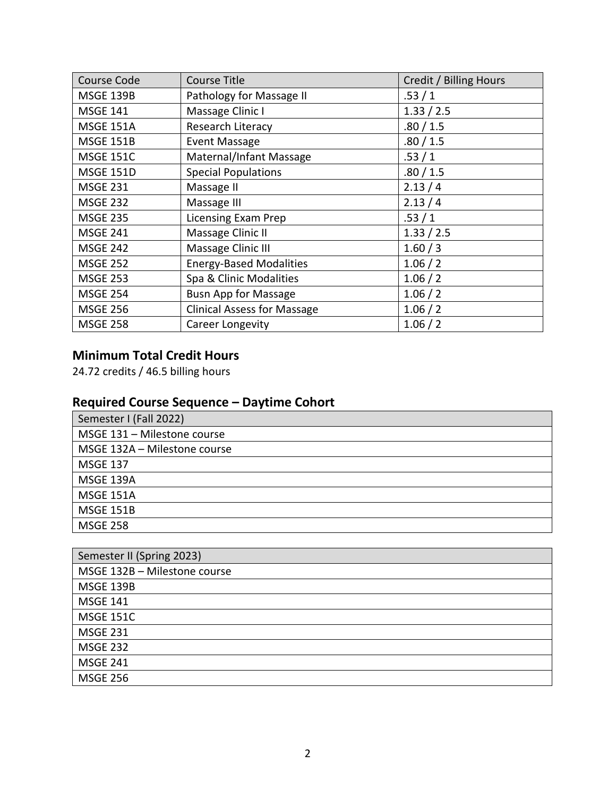| <b>Course Code</b> | <b>Course Title</b>                | Credit / Billing Hours |
|--------------------|------------------------------------|------------------------|
| <b>MSGE 139B</b>   | Pathology for Massage II           | .53/1                  |
| <b>MSGE 141</b>    | Massage Clinic I                   | 1.33 / 2.5             |
| <b>MSGE 151A</b>   | Research Literacy                  | .80 / 1.5              |
| <b>MSGE 151B</b>   | <b>Event Massage</b>               | .80 / 1.5              |
| <b>MSGE 151C</b>   | Maternal/Infant Massage            | .53/1                  |
| <b>MSGE 151D</b>   | <b>Special Populations</b>         | .80 / 1.5              |
| <b>MSGE 231</b>    | Massage II                         | 2.13/4                 |
| <b>MSGE 232</b>    | Massage III                        | 2.13/4                 |
| <b>MSGE 235</b>    | <b>Licensing Exam Prep</b>         | .53/1                  |
| <b>MSGE 241</b>    | Massage Clinic II                  | 1.33 / 2.5             |
| <b>MSGE 242</b>    | Massage Clinic III                 | 1.60/3                 |
| <b>MSGE 252</b>    | <b>Energy-Based Modalities</b>     | 1.06 / 2               |
| <b>MSGE 253</b>    | Spa & Clinic Modalities            | 1.06 / 2               |
| <b>MSGE 254</b>    | <b>Busn App for Massage</b>        | 1.06 / 2               |
| <b>MSGE 256</b>    | <b>Clinical Assess for Massage</b> | 1.06 / 2               |
| <b>MSGE 258</b>    | Career Longevity                   | 1.06 / 2               |

#### **Minimum Total Credit Hours**

24.72 credits / 46.5 billing hours

# **Required Course Sequence – Daytime Cohort**

| Semester I (Fall 2022)       |
|------------------------------|
| MSGE 131 - Milestone course  |
| MSGE 132A - Milestone course |
| <b>MSGE 137</b>              |
| MSGE 139A                    |
| <b>MSGE 151A</b>             |
| <b>MSGE 151B</b>             |
| <b>MSGE 258</b>              |

| Semester II (Spring 2023)    |  |
|------------------------------|--|
| MSGE 132B - Milestone course |  |
| <b>MSGE 139B</b>             |  |
| <b>MSGE 141</b>              |  |
| <b>MSGE 151C</b>             |  |
| <b>MSGE 231</b>              |  |
| <b>MSGE 232</b>              |  |
| <b>MSGE 241</b>              |  |
| <b>MSGE 256</b>              |  |